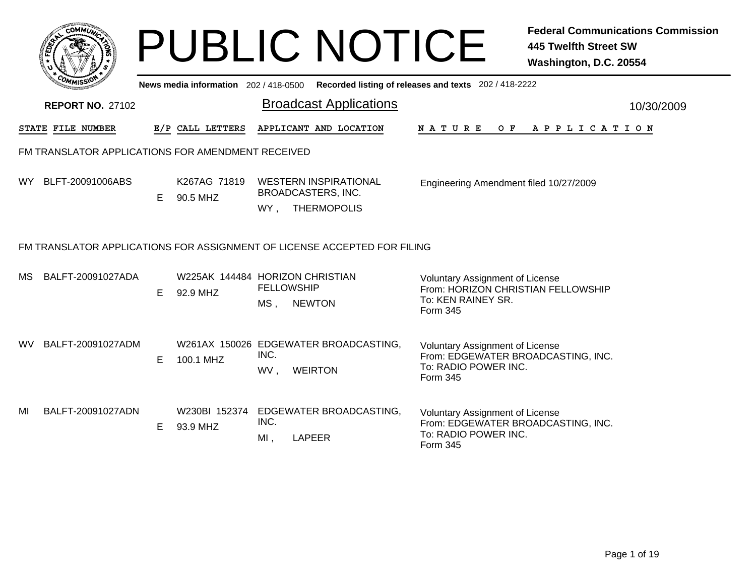|     |                                                                          |    |                                       | <b>PUBLIC NOTICE</b>                                                            |                                                                                                                  | <b>Federal Communications Commission</b><br><b>445 Twelfth Street SW</b><br>Washington, D.C. 20554 |
|-----|--------------------------------------------------------------------------|----|---------------------------------------|---------------------------------------------------------------------------------|------------------------------------------------------------------------------------------------------------------|----------------------------------------------------------------------------------------------------|
|     |                                                                          |    | News media information 202 / 418-0500 |                                                                                 | Recorded listing of releases and texts 202 / 418-2222                                                            |                                                                                                    |
|     | <b>REPORT NO. 27102</b>                                                  |    |                                       | <b>Broadcast Applications</b>                                                   |                                                                                                                  | 10/30/2009                                                                                         |
|     | STATE FILE NUMBER                                                        |    | E/P CALL LETTERS                      | APPLICANT AND LOCATION                                                          | N A T U R E                                                                                                      | OF APPLICATION                                                                                     |
|     | FM TRANSLATOR APPLICATIONS FOR AMENDMENT RECEIVED                        |    |                                       |                                                                                 |                                                                                                                  |                                                                                                    |
|     | WY BLFT-20091006ABS                                                      | E. | K267AG 71819<br>90.5 MHZ              | <b>WESTERN INSPIRATIONAL</b><br>BROADCASTERS, INC.<br>WY, THERMOPOLIS           | Engineering Amendment filed 10/27/2009                                                                           |                                                                                                    |
|     | FM TRANSLATOR APPLICATIONS FOR ASSIGNMENT OF LICENSE ACCEPTED FOR FILING |    |                                       |                                                                                 |                                                                                                                  |                                                                                                    |
| MS. | BALFT-20091027ADA                                                        | E. | 92.9 MHZ                              | W225AK 144484 HORIZON CHRISTIAN<br><b>FELLOWSHIP</b><br>$MS$ ,<br><b>NEWTON</b> | <b>Voluntary Assignment of License</b><br>From: HORIZON CHRISTIAN FELLOWSHIP<br>To: KEN RAINEY SR.<br>Form 345   |                                                                                                    |
| WV. | BALFT-20091027ADM                                                        | E. | 100.1 MHZ                             | W261AX 150026 EDGEWATER BROADCASTING,<br>INC.<br><b>WEIRTON</b><br>WV,          | <b>Voluntary Assignment of License</b><br>From: EDGEWATER BROADCASTING, INC.<br>To: RADIO POWER INC.<br>Form 345 |                                                                                                    |
| MI  | BALFT-20091027ADN                                                        | E  | W230BI 152374<br>93.9 MHZ             | EDGEWATER BROADCASTING,<br>INC.<br><b>LAPEER</b><br>MI,                         | <b>Voluntary Assignment of License</b><br>From: EDGEWATER BROADCASTING, INC.<br>To: RADIO POWER INC.<br>Form 345 |                                                                                                    |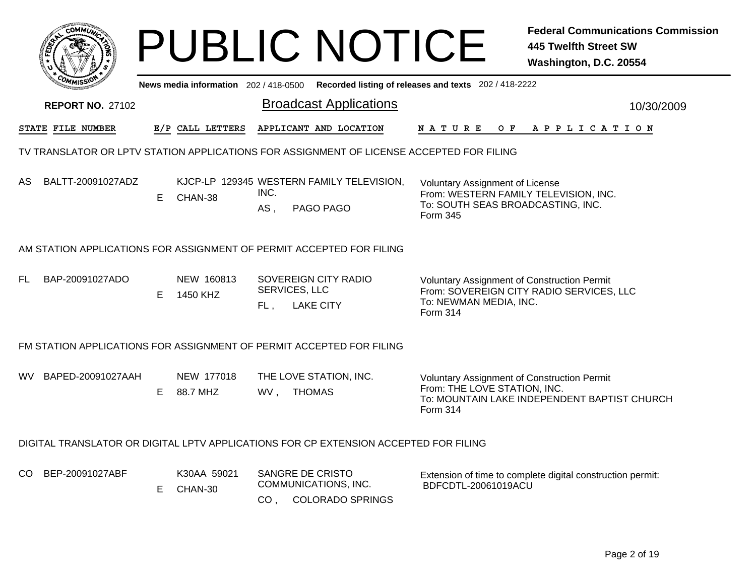| COMMI                                                                                    |    |                                     | <b>PUBLIC NOTICE</b>                                                                   |                                                                                                                           | <b>Federal Communications Commission</b><br><b>445 Twelfth Street SW</b><br>Washington, D.C. 20554 |  |  |  |  |  |
|------------------------------------------------------------------------------------------|----|-------------------------------------|----------------------------------------------------------------------------------------|---------------------------------------------------------------------------------------------------------------------------|----------------------------------------------------------------------------------------------------|--|--|--|--|--|
|                                                                                          |    | News media information 202/418-0500 |                                                                                        | Recorded listing of releases and texts 202 / 418-2222                                                                     |                                                                                                    |  |  |  |  |  |
| <b>REPORT NO. 27102</b>                                                                  |    |                                     | <b>Broadcast Applications</b>                                                          |                                                                                                                           | 10/30/2009                                                                                         |  |  |  |  |  |
| STATE FILE NUMBER                                                                        |    | E/P CALL LETTERS                    | APPLICANT AND LOCATION                                                                 | <b>NATURE</b>                                                                                                             | OF APPLICATION                                                                                     |  |  |  |  |  |
| TV TRANSLATOR OR LPTV STATION APPLICATIONS FOR ASSIGNMENT OF LICENSE ACCEPTED FOR FILING |    |                                     |                                                                                        |                                                                                                                           |                                                                                                    |  |  |  |  |  |
| BALTT-20091027ADZ<br>AS                                                                  | E. | CHAN-38                             | KJCP-LP 129345 WESTERN FAMILY TELEVISION,<br>INC.<br>PAGO PAGO<br>AS,                  | Voluntary Assignment of License<br>From: WESTERN FAMILY TELEVISION, INC.<br>To: SOUTH SEAS BROADCASTING, INC.<br>Form 345 |                                                                                                    |  |  |  |  |  |
| AM STATION APPLICATIONS FOR ASSIGNMENT OF PERMIT ACCEPTED FOR FILING                     |    |                                     |                                                                                        |                                                                                                                           |                                                                                                    |  |  |  |  |  |
| BAP-20091027ADO<br>FL                                                                    | E. | NEW 160813<br>1450 KHZ              | SOVEREIGN CITY RADIO<br>SERVICES, LLC<br><b>LAKE CITY</b><br>FL,                       | <b>Voluntary Assignment of Construction Permit</b><br>To: NEWMAN MEDIA, INC.<br>Form 314                                  | From: SOVEREIGN CITY RADIO SERVICES, LLC                                                           |  |  |  |  |  |
|                                                                                          |    |                                     | FM STATION APPLICATIONS FOR ASSIGNMENT OF PERMIT ACCEPTED FOR FILING                   |                                                                                                                           |                                                                                                    |  |  |  |  |  |
| BAPED-20091027AAH<br>WV.                                                                 | E. | NEW 177018<br>88.7 MHZ              | THE LOVE STATION, INC.<br>WV, THOMAS                                                   | Voluntary Assignment of Construction Permit<br>From: THE LOVE STATION, INC.<br>Form 314                                   | To: MOUNTAIN LAKE INDEPENDENT BAPTIST CHURCH                                                       |  |  |  |  |  |
|                                                                                          |    |                                     | DIGITAL TRANSLATOR OR DIGITAL LPTV APPLICATIONS FOR CP EXTENSION ACCEPTED FOR FILING   |                                                                                                                           |                                                                                                    |  |  |  |  |  |
| BEP-20091027ABF<br>CO.                                                                   | E. | K30AA 59021<br>CHAN-30              | SANGRE DE CRISTO<br>COMMUNICATIONS, INC.<br><b>COLORADO SPRINGS</b><br>CO <sub>1</sub> | BDFCDTL-20061019ACU                                                                                                       | Extension of time to complete digital construction permit:                                         |  |  |  |  |  |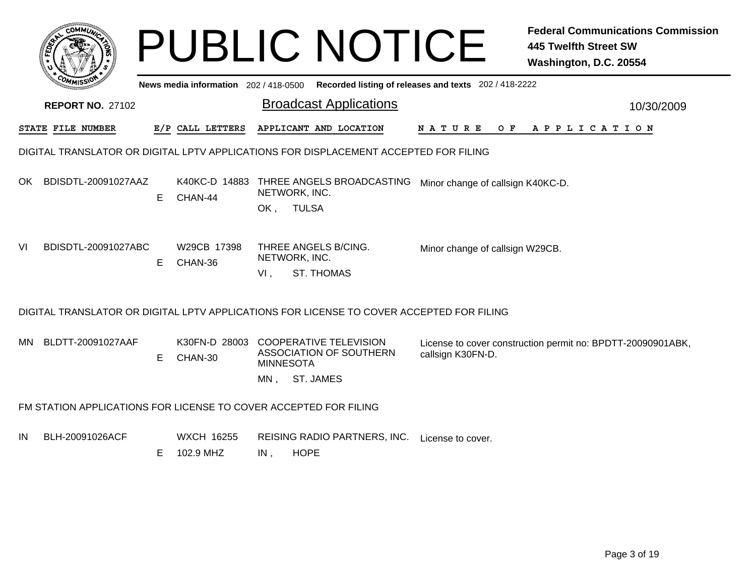|     |                                                                                      |    |                                     |                         | <b>PUBLIC NOTICE</b>                                                                                       |                                                       | <b>Federal Communications Commission</b><br><b>445 Twelfth Street SW</b><br>Washington, D.C. 20554 |  |  |  |
|-----|--------------------------------------------------------------------------------------|----|-------------------------------------|-------------------------|------------------------------------------------------------------------------------------------------------|-------------------------------------------------------|----------------------------------------------------------------------------------------------------|--|--|--|
|     |                                                                                      |    | News media information 202/418-0500 |                         |                                                                                                            | Recorded listing of releases and texts 202 / 418-2222 |                                                                                                    |  |  |  |
|     | <b>REPORT NO. 27102</b>                                                              |    |                                     |                         | <b>Broadcast Applications</b>                                                                              |                                                       | 10/30/2009                                                                                         |  |  |  |
|     | STATE FILE NUMBER                                                                    |    | E/P CALL LETTERS                    |                         | APPLICANT AND LOCATION                                                                                     | N A T U R E<br>O F                                    | A P P L I C A T I O N                                                                              |  |  |  |
|     | DIGITAL TRANSLATOR OR DIGITAL LPTV APPLICATIONS FOR DISPLACEMENT ACCEPTED FOR FILING |    |                                     |                         |                                                                                                            |                                                       |                                                                                                    |  |  |  |
| OK. | BDISDTL-20091027AAZ                                                                  | E  | CHAN-44                             | OK,                     | K40KC-D 14883 THREE ANGELS BROADCASTING Minor change of callsign K40KC-D.<br>NETWORK, INC.<br><b>TULSA</b> |                                                       |                                                                                                    |  |  |  |
| VI  | BDISDTL-20091027ABC                                                                  | E  | W29CB 17398<br>CHAN-36              | $VI$ ,                  | THREE ANGELS B/CING.<br>NETWORK, INC.<br><b>ST. THOMAS</b>                                                 | Minor change of callsign W29CB.                       |                                                                                                    |  |  |  |
|     |                                                                                      |    |                                     |                         | DIGITAL TRANSLATOR OR DIGITAL LPTV APPLICATIONS FOR LICENSE TO COVER ACCEPTED FOR FILING                   |                                                       |                                                                                                    |  |  |  |
| MN. | BLDTT-20091027AAF                                                                    | E  | CHAN-30                             | <b>MINNESOTA</b><br>MN, | K30FN-D 28003 COOPERATIVE TELEVISION<br><b>ASSOCIATION OF SOUTHERN</b><br>ST. JAMES                        | callsign K30FN-D.                                     | License to cover construction permit no: BPDTT-20090901ABK,                                        |  |  |  |
|     | FM STATION APPLICATIONS FOR LICENSE TO COVER ACCEPTED FOR FILING                     |    |                                     |                         |                                                                                                            |                                                       |                                                                                                    |  |  |  |
| ΙN  | BLH-20091026ACF                                                                      | E. | WXCH 16255<br>102.9 MHZ             | IN,                     | REISING RADIO PARTNERS, INC. License to cover.<br><b>HOPE</b>                                              |                                                       |                                                                                                    |  |  |  |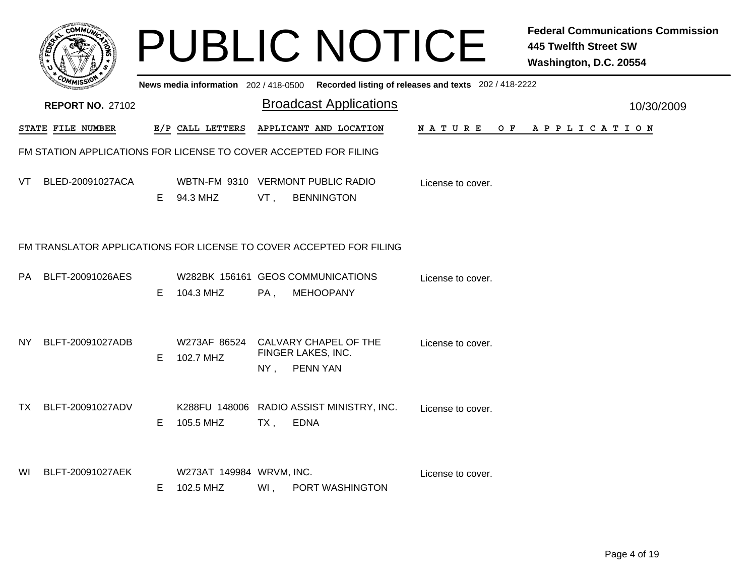|      |                                                                  |    |                                       |        | <b>PUBLIC NOTICE</b>                                                                    |                    | <b>Federal Communications Commission</b><br><b>445 Twelfth Street SW</b><br>Washington, D.C. 20554 |
|------|------------------------------------------------------------------|----|---------------------------------------|--------|-----------------------------------------------------------------------------------------|--------------------|----------------------------------------------------------------------------------------------------|
|      |                                                                  |    |                                       |        | News media information 202/418-0500 Recorded listing of releases and texts 202/418-2222 |                    |                                                                                                    |
|      | <b>REPORT NO. 27102</b>                                          |    |                                       |        | <b>Broadcast Applications</b>                                                           |                    | 10/30/2009                                                                                         |
|      | <b>STATE FILE NUMBER</b>                                         |    | E/P CALL LETTERS                      |        | APPLICANT AND LOCATION                                                                  | N A T U R E<br>O F | A P P L I C A T I O N                                                                              |
|      | FM STATION APPLICATIONS FOR LICENSE TO COVER ACCEPTED FOR FILING |    |                                       |        |                                                                                         |                    |                                                                                                    |
| VT.  | BLED-20091027ACA                                                 | E. | 94.3 MHZ                              | VT,    | WBTN-FM 9310 VERMONT PUBLIC RADIO<br><b>BENNINGTON</b>                                  | License to cover.  |                                                                                                    |
|      |                                                                  |    |                                       |        | FM TRANSLATOR APPLICATIONS FOR LICENSE TO COVER ACCEPTED FOR FILING                     |                    |                                                                                                    |
| PA   | BLFT-20091026AES                                                 | E. | 104.3 MHZ                             | $PA$ , | W282BK 156161 GEOS COMMUNICATIONS<br><b>MEHOOPANY</b>                                   | License to cover.  |                                                                                                    |
| NY.  | BLFT-20091027ADB                                                 | E  | W273AF 86524<br>102.7 MHZ             | $NY$ , | CALVARY CHAPEL OF THE<br>FINGER LAKES, INC.<br>PENN YAN                                 | License to cover.  |                                                                                                    |
| TX . | BLFT-20091027ADV                                                 | E. | 105.5 MHZ                             | $TX$ , | K288FU 148006 RADIO ASSIST MINISTRY, INC.<br><b>EDNA</b>                                | License to cover.  |                                                                                                    |
| WI   | BLFT-20091027AEK                                                 | E. | W273AT 149984 WRVM, INC.<br>102.5 MHZ | Wl,    | PORT WASHINGTON                                                                         | License to cover.  |                                                                                                    |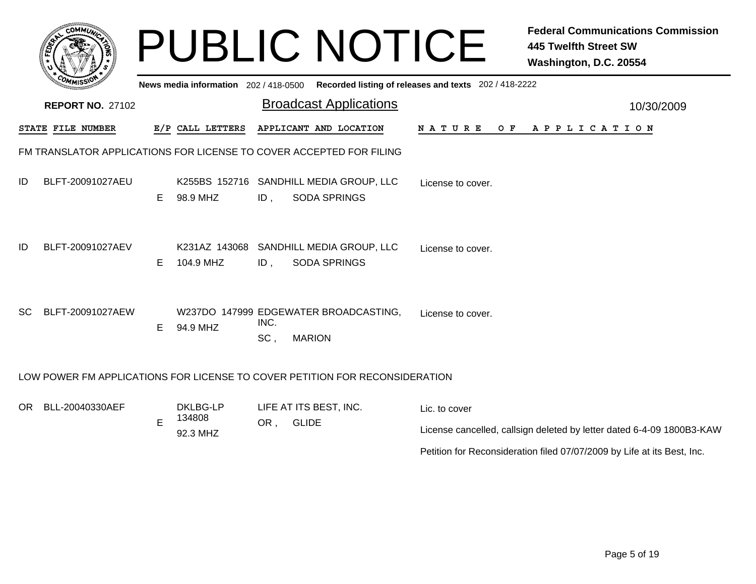|           | сомміл                  |    | News media information 202 / 418-0500 |             | <b>PUBLIC NOTICE</b>                                                        | Recorded listing of releases and texts 202 / 418-2222 | <b>Federal Communications Commission</b><br><b>445 Twelfth Street SW</b><br>Washington, D.C. 20554 |
|-----------|-------------------------|----|---------------------------------------|-------------|-----------------------------------------------------------------------------|-------------------------------------------------------|----------------------------------------------------------------------------------------------------|
|           | <b>REPORT NO. 27102</b> |    |                                       |             | <b>Broadcast Applications</b>                                               |                                                       | 10/30/2009                                                                                         |
|           | STATE FILE NUMBER       |    | E/P CALL LETTERS                      |             | APPLICANT AND LOCATION                                                      | <b>NATURE</b>                                         | OF APPLICATION                                                                                     |
|           |                         |    |                                       |             | FM TRANSLATOR APPLICATIONS FOR LICENSE TO COVER ACCEPTED FOR FILING         |                                                       |                                                                                                    |
| ID        | BLFT-20091027AEU        | E. | 98.9 MHZ                              | $ID$ ,      | K255BS 152716 SANDHILL MEDIA GROUP, LLC<br><b>SODA SPRINGS</b>              | License to cover.                                     |                                                                                                    |
| ID        | BLFT-20091027AEV        | E. | 104.9 MHZ                             | $ID$ ,      | K231AZ 143068 SANDHILL MEDIA GROUP, LLC<br><b>SODA SPRINGS</b>              | License to cover.                                     |                                                                                                    |
| <b>SC</b> | BLFT-20091027AEW        | E. | 94.9 MHZ                              | INC.<br>SC, | W237DO 147999 EDGEWATER BROADCASTING,<br><b>MARION</b>                      | License to cover.                                     |                                                                                                    |
|           |                         |    |                                       |             | LOW POWER FM APPLICATIONS FOR LICENSE TO COVER PETITION FOR RECONSIDERATION |                                                       |                                                                                                    |
|           | OR BLL-20040330AEF      | E  | DKLBG-LP<br>134808<br>92.3 MHZ        | OR,         | LIFE AT ITS BEST, INC.<br><b>GLIDE</b>                                      | Lic. to cover                                         | License cancelled, callsign deleted by letter dated 6-4-09 1800B3-KAW                              |

Petition for Reconsideration filed 07/07/2009 by Life at its Best, Inc.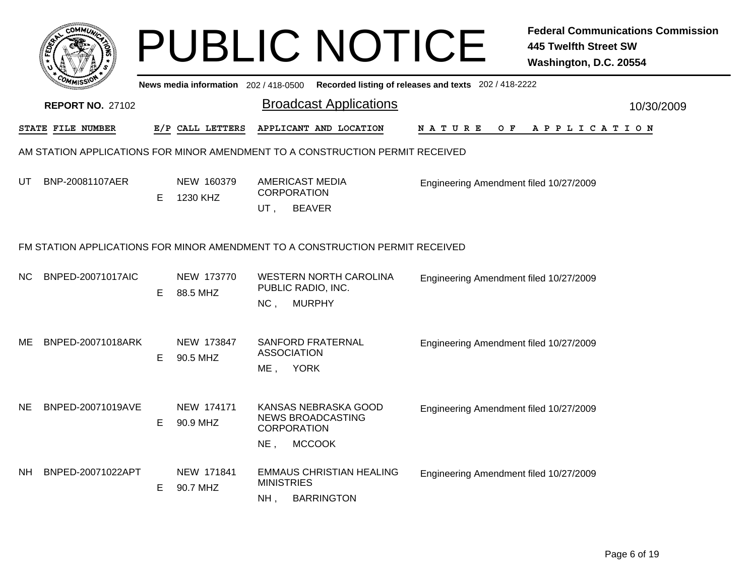|     |                          |    |                                     | <b>PUBLIC NOTICE</b>                                                                            |                                                       | <b>Federal Communications Commission</b><br><b>445 Twelfth Street SW</b><br>Washington, D.C. 20554 |  |  |  |
|-----|--------------------------|----|-------------------------------------|-------------------------------------------------------------------------------------------------|-------------------------------------------------------|----------------------------------------------------------------------------------------------------|--|--|--|
|     |                          |    | News media information 202/418-0500 |                                                                                                 | Recorded listing of releases and texts 202 / 418-2222 |                                                                                                    |  |  |  |
|     | <b>REPORT NO. 27102</b>  |    |                                     | <b>Broadcast Applications</b>                                                                   |                                                       | 10/30/2009                                                                                         |  |  |  |
|     | STATE FILE NUMBER        |    | E/P CALL LETTERS                    | APPLICANT AND LOCATION                                                                          | O F<br>N A T U R E                                    | A P P L I C A T I O N                                                                              |  |  |  |
|     |                          |    |                                     | AM STATION APPLICATIONS FOR MINOR AMENDMENT TO A CONSTRUCTION PERMIT RECEIVED                   |                                                       |                                                                                                    |  |  |  |
| UT  | BNP-20081107AER          | E. | NEW 160379<br>1230 KHZ              | <b>AMERICAST MEDIA</b><br><b>CORPORATION</b><br><b>BEAVER</b><br>UT,                            | Engineering Amendment filed 10/27/2009                |                                                                                                    |  |  |  |
|     |                          |    |                                     | FM STATION APPLICATIONS FOR MINOR AMENDMENT TO A CONSTRUCTION PERMIT RECEIVED                   |                                                       |                                                                                                    |  |  |  |
| NC. | <b>BNPED-20071017AIC</b> | E  | NEW 173770<br>88.5 MHZ              | <b>WESTERN NORTH CAROLINA</b><br>PUBLIC RADIO, INC.<br><b>MURPHY</b><br>NC,                     | Engineering Amendment filed 10/27/2009                |                                                                                                    |  |  |  |
| ME. | BNPED-20071018ARK        | E  | NEW 173847<br>90.5 MHZ              | SANFORD FRATERNAL<br><b>ASSOCIATION</b><br>ME, YORK                                             | Engineering Amendment filed 10/27/2009                |                                                                                                    |  |  |  |
| NE. | BNPED-20071019AVE        | E  | NEW 174171<br>90.9 MHZ              | KANSAS NEBRASKA GOOD<br><b>NEWS BROADCASTING</b><br><b>CORPORATION</b><br><b>MCCOOK</b><br>NE . | Engineering Amendment filed 10/27/2009                |                                                                                                    |  |  |  |
| NH. | BNPED-20071022APT        | Е  | NEW 171841<br>90.7 MHZ              | <b>EMMAUS CHRISTIAN HEALING</b><br><b>MINISTRIES</b><br>NH <sub>1</sub><br><b>BARRINGTON</b>    | Engineering Amendment filed 10/27/2009                |                                                                                                    |  |  |  |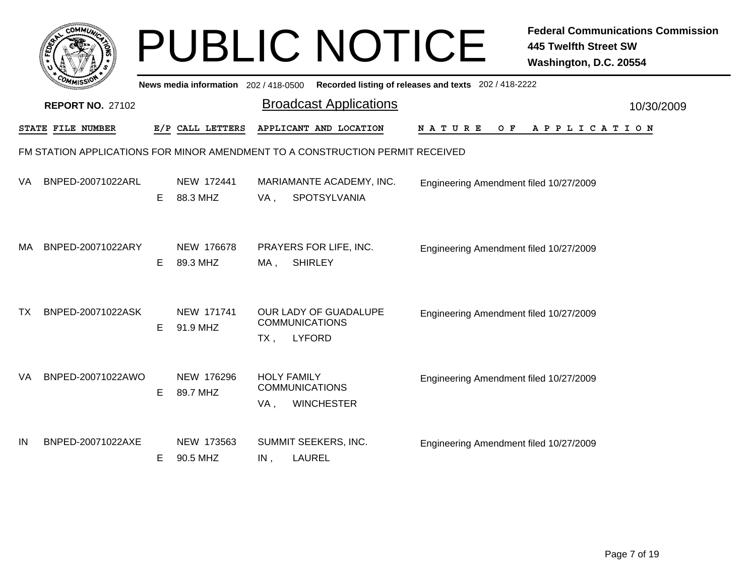|           |                         |    |                                       |     | <b>PUBLIC NOTICE</b>                                                          |                                                       | <b>Federal Communications Commission</b><br><b>445 Twelfth Street SW</b><br>Washington, D.C. 20554 |
|-----------|-------------------------|----|---------------------------------------|-----|-------------------------------------------------------------------------------|-------------------------------------------------------|----------------------------------------------------------------------------------------------------|
|           |                         |    | News media information 202 / 418-0500 |     |                                                                               | Recorded listing of releases and texts 202 / 418-2222 |                                                                                                    |
|           | <b>REPORT NO. 27102</b> |    |                                       |     | <b>Broadcast Applications</b>                                                 |                                                       | 10/30/2009                                                                                         |
|           | STATE FILE NUMBER       |    | E/P CALL LETTERS                      |     | APPLICANT AND LOCATION                                                        | N A T U R E<br>O F                                    | APPLICATION                                                                                        |
|           |                         |    |                                       |     | FM STATION APPLICATIONS FOR MINOR AMENDMENT TO A CONSTRUCTION PERMIT RECEIVED |                                                       |                                                                                                    |
| VA        | BNPED-20071022ARL       | E. | NEW 172441<br>88.3 MHZ                | VA, | MARIAMANTE ACADEMY, INC.<br>SPOTSYLVANIA                                      | Engineering Amendment filed 10/27/2009                |                                                                                                    |
| МA        | BNPED-20071022ARY       | E. | NEW 176678<br>89.3 MHZ                | MA, | PRAYERS FOR LIFE, INC.<br><b>SHIRLEY</b>                                      | Engineering Amendment filed 10/27/2009                |                                                                                                    |
| <b>TX</b> | BNPED-20071022ASK       | E. | NEW 171741<br>91.9 MHZ                | TX, | OUR LADY OF GUADALUPE<br><b>COMMUNICATIONS</b><br><b>LYFORD</b>               | Engineering Amendment filed 10/27/2009                |                                                                                                    |
| VA        | BNPED-20071022AWO       | E. | NEW 176296<br>89.7 MHZ                | VA, | <b>HOLY FAMILY</b><br><b>COMMUNICATIONS</b><br><b>WINCHESTER</b>              | Engineering Amendment filed 10/27/2009                |                                                                                                    |
| IN        | BNPED-20071022AXE       | E. | NEW 173563<br>90.5 MHZ                | IN, | SUMMIT SEEKERS, INC.<br><b>LAUREL</b>                                         | Engineering Amendment filed 10/27/2009                |                                                                                                    |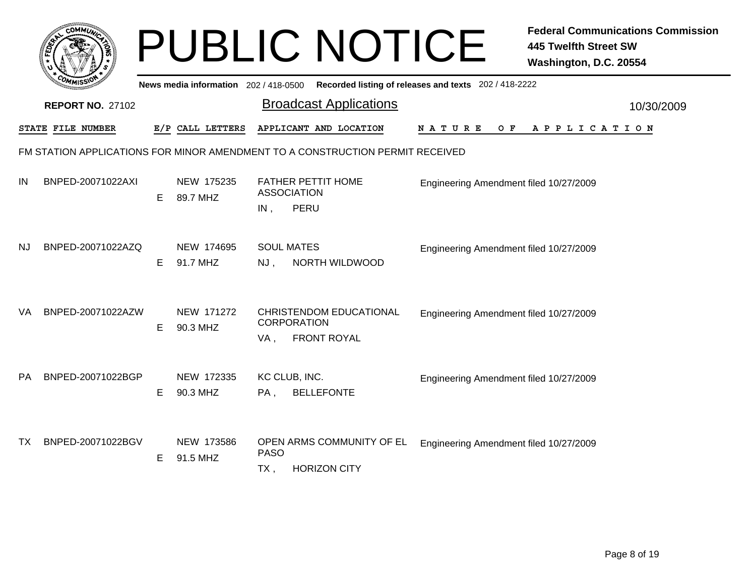|    |                         |    |                                     |                             | <b>PUBLIC NOTICE</b>                                                          |                                                       | <b>Federal Communications Commission</b><br><b>445 Twelfth Street SW</b><br>Washington, D.C. 20554 |
|----|-------------------------|----|-------------------------------------|-----------------------------|-------------------------------------------------------------------------------|-------------------------------------------------------|----------------------------------------------------------------------------------------------------|
|    |                         |    | News media information 202/418-0500 |                             |                                                                               | Recorded listing of releases and texts 202 / 418-2222 |                                                                                                    |
|    | <b>REPORT NO. 27102</b> |    |                                     |                             | <b>Broadcast Applications</b>                                                 |                                                       | 10/30/2009                                                                                         |
|    | STATE FILE NUMBER       |    | E/P CALL LETTERS                    |                             | APPLICANT AND LOCATION                                                        | N A T U R E<br>O F                                    | APPLICATION                                                                                        |
|    |                         |    |                                     |                             | FM STATION APPLICATIONS FOR MINOR AMENDMENT TO A CONSTRUCTION PERMIT RECEIVED |                                                       |                                                                                                    |
| IN | BNPED-20071022AXI       | E. | NEW 175235<br>89.7 MHZ              | <b>ASSOCIATION</b><br>IN,   | <b>FATHER PETTIT HOME</b><br>PERU                                             | Engineering Amendment filed 10/27/2009                |                                                                                                    |
| NJ | BNPED-20071022AZQ       | Е  | NEW 174695<br>91.7 MHZ              | <b>SOUL MATES</b><br>$NJ$ , | NORTH WILDWOOD                                                                | Engineering Amendment filed 10/27/2009                |                                                                                                    |
| VA | BNPED-20071022AZW       | Е  | NEW 171272<br>90.3 MHZ              | <b>CORPORATION</b><br>VA.   | <b>CHRISTENDOM EDUCATIONAL</b><br><b>FRONT ROYAL</b>                          | Engineering Amendment filed 10/27/2009                |                                                                                                    |
| PA | BNPED-20071022BGP       | Е  | NEW 172335<br>90.3 MHZ              | KC CLUB, INC.<br>PA,        | <b>BELLEFONTE</b>                                                             | Engineering Amendment filed 10/27/2009                |                                                                                                    |
| ТX | BNPED-20071022BGV       | E. | NEW 173586<br>91.5 MHZ              | <b>PASO</b><br>$TX$ ,       | OPEN ARMS COMMUNITY OF EL<br><b>HORIZON CITY</b>                              | Engineering Amendment filed 10/27/2009                |                                                                                                    |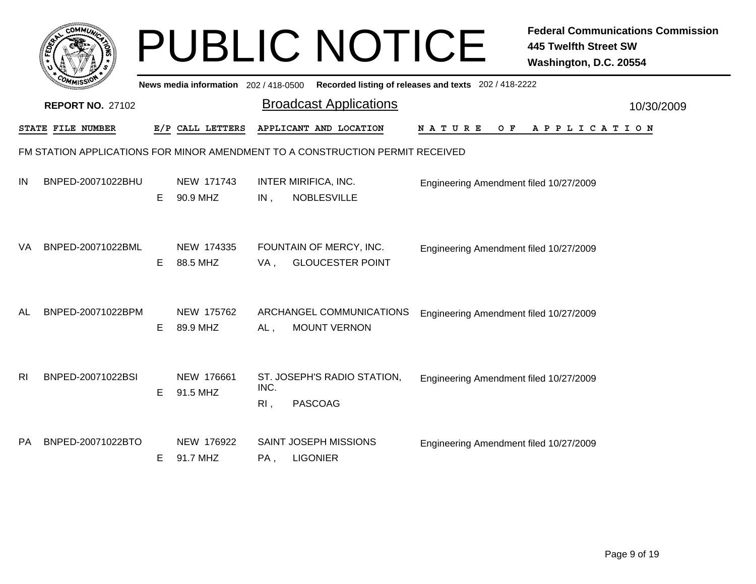|                | <b>COMMUT</b>           |    |                                     |             | <b>PUBLIC NOTICE</b>                                                          |                                                       | <b>Federal Communications Commission</b><br><b>445 Twelfth Street SW</b><br>Washington, D.C. 20554 |
|----------------|-------------------------|----|-------------------------------------|-------------|-------------------------------------------------------------------------------|-------------------------------------------------------|----------------------------------------------------------------------------------------------------|
|                |                         |    | News media information 202/418-0500 |             |                                                                               | Recorded listing of releases and texts 202 / 418-2222 |                                                                                                    |
|                | <b>REPORT NO. 27102</b> |    |                                     |             | <b>Broadcast Applications</b>                                                 |                                                       | 10/30/2009                                                                                         |
|                | STATE FILE NUMBER       |    | E/P CALL LETTERS                    |             | APPLICANT AND LOCATION                                                        | N A T U R E<br>O F                                    | A P P L I C A T I O N                                                                              |
|                |                         |    |                                     |             | FM STATION APPLICATIONS FOR MINOR AMENDMENT TO A CONSTRUCTION PERMIT RECEIVED |                                                       |                                                                                                    |
| IN             | BNPED-20071022BHU       | E. | NEW 171743<br>90.9 MHZ              | IN,         | <b>INTER MIRIFICA, INC.</b><br><b>NOBLESVILLE</b>                             | Engineering Amendment filed 10/27/2009                |                                                                                                    |
| VA             | BNPED-20071022BML       | E. | NEW 174335<br>88.5 MHZ              | VA,         | FOUNTAIN OF MERCY, INC.<br><b>GLOUCESTER POINT</b>                            | Engineering Amendment filed 10/27/2009                |                                                                                                    |
| AL             | BNPED-20071022BPM       | E  | NEW 175762<br>89.9 MHZ              | $AL$ ,      | ARCHANGEL COMMUNICATIONS<br><b>MOUNT VERNON</b>                               | Engineering Amendment filed 10/27/2009                |                                                                                                    |
| R <sub>l</sub> | BNPED-20071022BSI       | E. | NEW 176661<br>91.5 MHZ              | INC.<br>RI, | ST. JOSEPH'S RADIO STATION,<br><b>PASCOAG</b>                                 | Engineering Amendment filed 10/27/2009                |                                                                                                    |
| PA             | BNPED-20071022BTO       | E. | NEW 176922<br>91.7 MHZ              | PA,         | <b>SAINT JOSEPH MISSIONS</b><br><b>LIGONIER</b>                               | Engineering Amendment filed 10/27/2009                |                                                                                                    |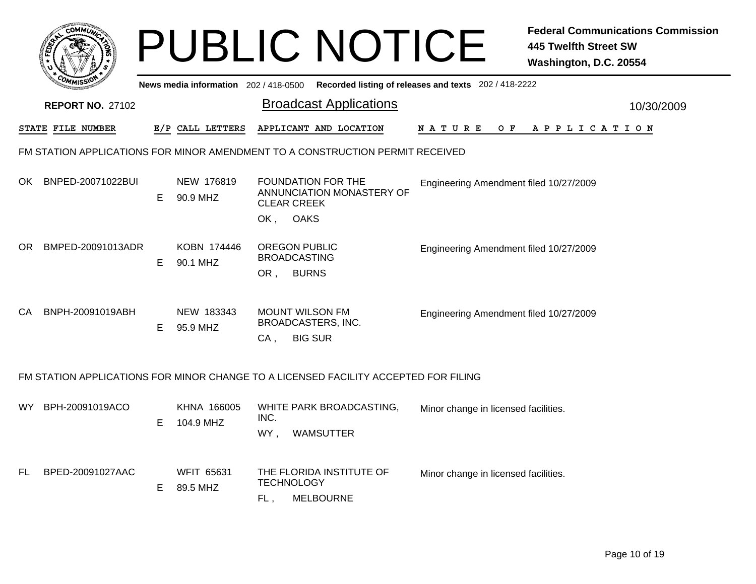|     |                         |    |                                       |                                                                                        | <b>PUBLIC NOTICE</b>                                                                |                                        | <b>Federal Communications Commission</b><br><b>445 Twelfth Street SW</b><br>Washington, D.C. 20554 |  |
|-----|-------------------------|----|---------------------------------------|----------------------------------------------------------------------------------------|-------------------------------------------------------------------------------------|----------------------------------------|----------------------------------------------------------------------------------------------------|--|
|     |                         |    | News media information 202 / 418-0500 |                                                                                        | Recorded listing of releases and texts 202 / 418-2222                               |                                        |                                                                                                    |  |
|     | <b>REPORT NO. 27102</b> |    |                                       |                                                                                        | <b>Broadcast Applications</b>                                                       |                                        | 10/30/2009                                                                                         |  |
|     | STATE FILE NUMBER       |    | E/P CALL LETTERS                      |                                                                                        | APPLICANT AND LOCATION                                                              | <b>NATURE</b>                          | OF APPLICATION                                                                                     |  |
|     |                         |    |                                       |                                                                                        | FM STATION APPLICATIONS FOR MINOR AMENDMENT TO A CONSTRUCTION PERMIT RECEIVED       |                                        |                                                                                                    |  |
| OK. | BNPED-20071022BUI       | E. | NEW 176819<br>90.9 MHZ                |                                                                                        | <b>FOUNDATION FOR THE</b><br>ANNUNCIATION MONASTERY OF<br><b>CLEAR CREEK</b>        | Engineering Amendment filed 10/27/2009 |                                                                                                    |  |
|     |                         |    |                                       | <b>OAKS</b><br>OK,                                                                     |                                                                                     |                                        |                                                                                                    |  |
| OR. | BMPED-20091013ADR       | E. | KOBN 174446<br>90.1 MHZ               |                                                                                        | <b>OREGON PUBLIC</b><br><b>BROADCASTING</b>                                         | Engineering Amendment filed 10/27/2009 |                                                                                                    |  |
|     |                         |    |                                       | OR,                                                                                    | <b>BURNS</b>                                                                        |                                        |                                                                                                    |  |
| CA  | BNPH-20091019ABH        | E. | NEW 183343<br>95.9 MHZ                | <b>MOUNT WILSON FM</b><br>Engineering Amendment filed 10/27/2009<br>BROADCASTERS, INC. |                                                                                     |                                        |                                                                                                    |  |
|     |                         |    |                                       | CA,                                                                                    | <b>BIG SUR</b>                                                                      |                                        |                                                                                                    |  |
|     |                         |    |                                       |                                                                                        | FM STATION APPLICATIONS FOR MINOR CHANGE TO A LICENSED FACILITY ACCEPTED FOR FILING |                                        |                                                                                                    |  |
| WY. | BPH-20091019ACO         | E. | KHNA 166005<br>104.9 MHZ              | INC.                                                                                   | WHITE PARK BROADCASTING,                                                            | Minor change in licensed facilities.   |                                                                                                    |  |
|     |                         |    |                                       | WY,                                                                                    | WAMSUTTER                                                                           |                                        |                                                                                                    |  |
| FL  | BPED-20091027AAC        | E. | <b>WFIT 65631</b><br>89.5 MHZ         | <b>TECHNOLOGY</b><br>FL,                                                               | THE FLORIDA INSTITUTE OF<br><b>MELBOURNE</b>                                        | Minor change in licensed facilities.   |                                                                                                    |  |
|     |                         |    |                                       |                                                                                        |                                                                                     |                                        |                                                                                                    |  |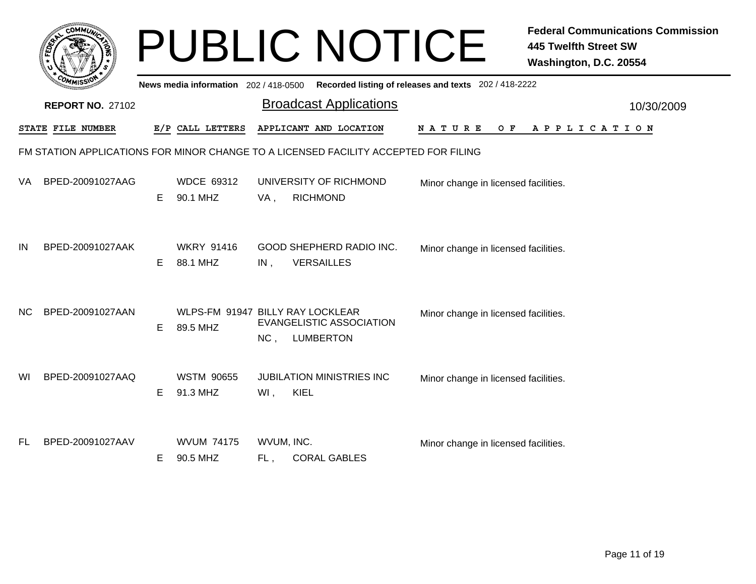|     |                         |    |                                              |                   | <b>PUBLIC NOTICE</b>                                                                |                                                       | <b>Federal Communications Commission</b><br><b>445 Twelfth Street SW</b><br>Washington, D.C. 20554 |
|-----|-------------------------|----|----------------------------------------------|-------------------|-------------------------------------------------------------------------------------|-------------------------------------------------------|----------------------------------------------------------------------------------------------------|
|     |                         |    | News media information 202 / 418-0500        |                   |                                                                                     | Recorded listing of releases and texts 202 / 418-2222 |                                                                                                    |
|     | <b>REPORT NO. 27102</b> |    |                                              |                   | <b>Broadcast Applications</b>                                                       |                                                       | 10/30/2009                                                                                         |
|     | STATE FILE NUMBER       |    | E/P CALL LETTERS                             |                   | APPLICANT AND LOCATION                                                              | N A T U R E<br>O F                                    | A P P L I C A T I O N                                                                              |
|     |                         |    |                                              |                   | FM STATION APPLICATIONS FOR MINOR CHANGE TO A LICENSED FACILITY ACCEPTED FOR FILING |                                                       |                                                                                                    |
| VA. | BPED-20091027AAG        | E. | <b>WDCE 69312</b><br>90.1 MHZ                | VA,               | UNIVERSITY OF RICHMOND<br><b>RICHMOND</b>                                           | Minor change in licensed facilities.                  |                                                                                                    |
| IN  | BPED-20091027AAK        | E. | <b>WKRY 91416</b><br>88.1 MHZ                | IN,               | <b>GOOD SHEPHERD RADIO INC.</b><br><b>VERSAILLES</b>                                | Minor change in licensed facilities.                  |                                                                                                    |
| NC. | BPED-20091027AAN        | E. | WLPS-FM 91947 BILLY RAY LOCKLEAR<br>89.5 MHZ | NC,               | <b>EVANGELISTIC ASSOCIATION</b><br><b>LUMBERTON</b>                                 | Minor change in licensed facilities.                  |                                                                                                    |
| WI  | BPED-20091027AAQ        | E. | <b>WSTM 90655</b><br>91.3 MHZ                | $WI$ ,            | <b>JUBILATION MINISTRIES INC</b><br>KIEL                                            | Minor change in licensed facilities.                  |                                                                                                    |
| FL. | BPED-20091027AAV        | E. | <b>WVUM 74175</b><br>90.5 MHZ                | WVUM, INC.<br>FL, | <b>CORAL GABLES</b>                                                                 | Minor change in licensed facilities.                  |                                                                                                    |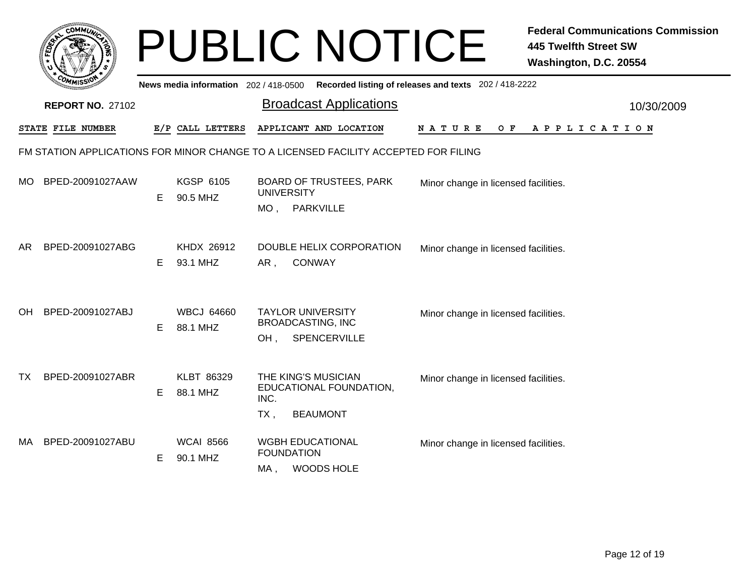|           |                         |    |                                       |                                                     | <b>PUBLIC NOTICE</b>                                                                |                                                       | <b>Federal Communications Commission</b><br><b>445 Twelfth Street SW</b><br>Washington, D.C. 20554 |
|-----------|-------------------------|----|---------------------------------------|-----------------------------------------------------|-------------------------------------------------------------------------------------|-------------------------------------------------------|----------------------------------------------------------------------------------------------------|
|           |                         |    | News media information 202 / 418-0500 |                                                     |                                                                                     | Recorded listing of releases and texts 202 / 418-2222 |                                                                                                    |
|           | <b>REPORT NO. 27102</b> |    |                                       |                                                     | <b>Broadcast Applications</b>                                                       |                                                       | 10/30/2009                                                                                         |
|           | STATE FILE NUMBER       |    | E/P CALL LETTERS                      |                                                     | APPLICANT AND LOCATION                                                              | N A T U R E<br>O F                                    | A P P L I C A T I O N                                                                              |
|           |                         |    |                                       |                                                     | FM STATION APPLICATIONS FOR MINOR CHANGE TO A LICENSED FACILITY ACCEPTED FOR FILING |                                                       |                                                                                                    |
| MO.       | BPED-20091027AAW        | E  | <b>KGSP 6105</b><br>90.5 MHZ          | <b>BOARD OF TRUSTEES, PARK</b><br><b>UNIVERSITY</b> |                                                                                     | Minor change in licensed facilities.                  |                                                                                                    |
|           |                         |    |                                       |                                                     | MO, PARKVILLE                                                                       |                                                       |                                                                                                    |
| AR.       | BPED-20091027ABG        |    | KHDX 26912                            |                                                     | DOUBLE HELIX CORPORATION                                                            | Minor change in licensed facilities.                  |                                                                                                    |
|           |                         | E  | 93.1 MHZ                              | <b>CONWAY</b><br>AR,                                |                                                                                     |                                                       |                                                                                                    |
| <b>OH</b> | BPED-20091027ABJ        |    | <b>WBCJ 64660</b>                     |                                                     | <b>TAYLOR UNIVERSITY</b>                                                            | Minor change in licensed facilities.                  |                                                                                                    |
|           |                         | E  | 88.1 MHZ                              | <b>BROADCASTING, INC</b><br>SPENCERVILLE<br>OH,     |                                                                                     |                                                       |                                                                                                    |
| TX.       | BPED-20091027ABR        |    | KLBT 86329                            |                                                     | THE KING'S MUSICIAN                                                                 | Minor change in licensed facilities.                  |                                                                                                    |
|           |                         | E. | 88.1 MHZ                              | EDUCATIONAL FOUNDATION,<br>INC.                     |                                                                                     |                                                       |                                                                                                    |
|           |                         |    |                                       | $TX$ ,                                              | <b>BEAUMONT</b>                                                                     |                                                       |                                                                                                    |
| MA l      | BPED-20091027ABU        | E. | <b>WCAI 8566</b><br>90.1 MHZ          | <b>FOUNDATION</b>                                   | <b>WGBH EDUCATIONAL</b>                                                             | Minor change in licensed facilities.                  |                                                                                                    |
|           |                         |    |                                       | MA,                                                 | <b>WOODS HOLE</b>                                                                   |                                                       |                                                                                                    |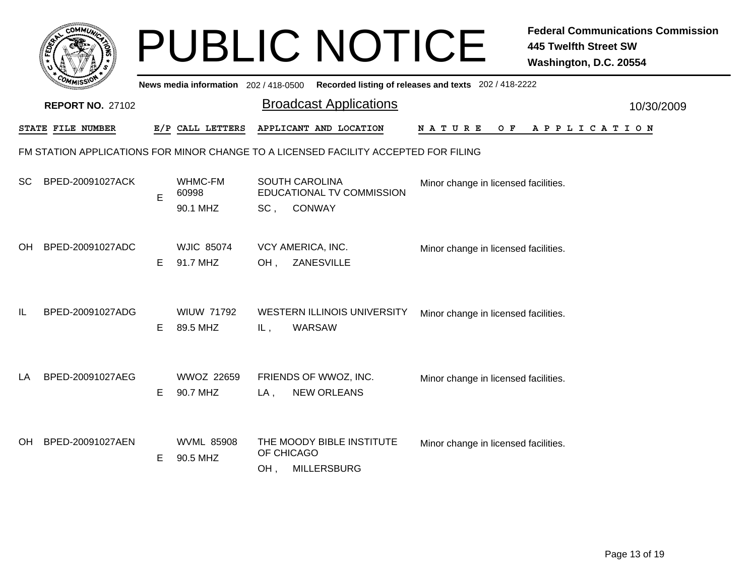|    | <b>COMMUT</b>                                                                       |    |                                     |                   | <b>PUBLIC NOTICE</b>                                                |                                                       | <b>Federal Communications Commission</b><br><b>445 Twelfth Street SW</b><br>Washington, D.C. 20554 |  |  |  |
|----|-------------------------------------------------------------------------------------|----|-------------------------------------|-------------------|---------------------------------------------------------------------|-------------------------------------------------------|----------------------------------------------------------------------------------------------------|--|--|--|
|    |                                                                                     |    | News media information 202/418-0500 |                   |                                                                     | Recorded listing of releases and texts 202 / 418-2222 |                                                                                                    |  |  |  |
|    | <b>REPORT NO. 27102</b>                                                             |    |                                     |                   | <b>Broadcast Applications</b>                                       |                                                       | 10/30/2009                                                                                         |  |  |  |
|    | STATE FILE NUMBER                                                                   |    | E/P CALL LETTERS                    |                   | APPLICANT AND LOCATION                                              | O F<br>N A T U R E                                    | APPLICATION                                                                                        |  |  |  |
|    | FM STATION APPLICATIONS FOR MINOR CHANGE TO A LICENSED FACILITY ACCEPTED FOR FILING |    |                                     |                   |                                                                     |                                                       |                                                                                                    |  |  |  |
| SC | BPED-20091027ACK                                                                    | E  | WHMC-FM<br>60998<br>90.1 MHZ        | SC,               | <b>SOUTH CAROLINA</b><br>EDUCATIONAL TV COMMISSION<br><b>CONWAY</b> | Minor change in licensed facilities.                  |                                                                                                    |  |  |  |
| OH | BPED-20091027ADC                                                                    | E. | <b>WJIC 85074</b><br>91.7 MHZ       | OH.               | VCY AMERICA, INC.<br>ZANESVILLE                                     | Minor change in licensed facilities.                  |                                                                                                    |  |  |  |
| IL | BPED-20091027ADG                                                                    | E  | <b>WIUW 71792</b><br>89.5 MHZ       | IL,               | <b>WESTERN ILLINOIS UNIVERSITY</b><br><b>WARSAW</b>                 | Minor change in licensed facilities.                  |                                                                                                    |  |  |  |
| LA | BPED-20091027AEG                                                                    | E. | <b>WWOZ 22659</b><br>90.7 MHZ       | $LA$ ,            | FRIENDS OF WWOZ, INC.<br><b>NEW ORLEANS</b>                         | Minor change in licensed facilities.                  |                                                                                                    |  |  |  |
| OН | BPED-20091027AEN                                                                    | E  | <b>WVML 85908</b><br>90.5 MHZ       | OF CHICAGO<br>OH, | THE MOODY BIBLE INSTITUTE<br><b>MILLERSBURG</b>                     | Minor change in licensed facilities.                  |                                                                                                    |  |  |  |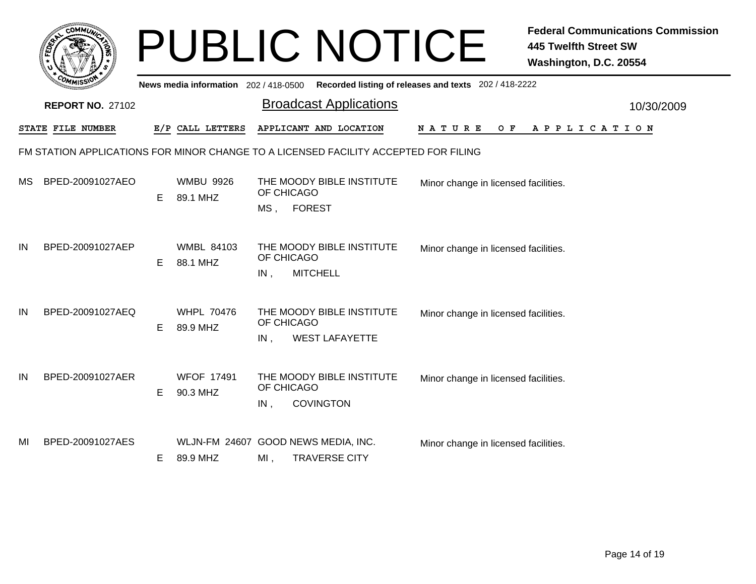|    | <b>COMMUT</b>           |    |                                       |                   | <b>PUBLIC NOTICE</b>                                                                |                                                       | <b>Federal Communications Commission</b><br><b>445 Twelfth Street SW</b><br>Washington, D.C. 20554 |            |
|----|-------------------------|----|---------------------------------------|-------------------|-------------------------------------------------------------------------------------|-------------------------------------------------------|----------------------------------------------------------------------------------------------------|------------|
|    | <b>REPORT NO. 27102</b> |    | News media information 202 / 418-0500 |                   | <b>Broadcast Applications</b>                                                       | Recorded listing of releases and texts 202 / 418-2222 |                                                                                                    | 10/30/2009 |
|    | STATE FILE NUMBER       |    | E/P CALL LETTERS                      |                   | APPLICANT AND LOCATION                                                              | NATURE<br>O F                                         | A P P L I C A T I O N                                                                              |            |
|    |                         |    |                                       |                   | FM STATION APPLICATIONS FOR MINOR CHANGE TO A LICENSED FACILITY ACCEPTED FOR FILING |                                                       |                                                                                                    |            |
| МS | BPED-20091027AEO        | E. | <b>WMBU 9926</b><br>89.1 MHZ          | OF CHICAGO<br>MS, | THE MOODY BIBLE INSTITUTE<br><b>FOREST</b>                                          | Minor change in licensed facilities.                  |                                                                                                    |            |
| IN | BPED-20091027AEP        | E. | <b>WMBL 84103</b><br>88.1 MHZ         | OF CHICAGO<br>IN, | THE MOODY BIBLE INSTITUTE<br><b>MITCHELL</b>                                        | Minor change in licensed facilities.                  |                                                                                                    |            |
| IN | BPED-20091027AEQ        | E. | <b>WHPL 70476</b><br>89.9 MHZ         | OF CHICAGO<br>IN, | THE MOODY BIBLE INSTITUTE<br><b>WEST LAFAYETTE</b>                                  | Minor change in licensed facilities.                  |                                                                                                    |            |
| IN | BPED-20091027AER        | E. | <b>WFOF 17491</b><br>90.3 MHZ         | OF CHICAGO<br>IN, | THE MOODY BIBLE INSTITUTE<br><b>COVINGTON</b>                                       | Minor change in licensed facilities.                  |                                                                                                    |            |
| ΜI | BPED-20091027AES        | E. | 89.9 MHZ                              | MI,               | WLJN-FM 24607 GOOD NEWS MEDIA, INC.<br><b>TRAVERSE CITY</b>                         | Minor change in licensed facilities.                  |                                                                                                    |            |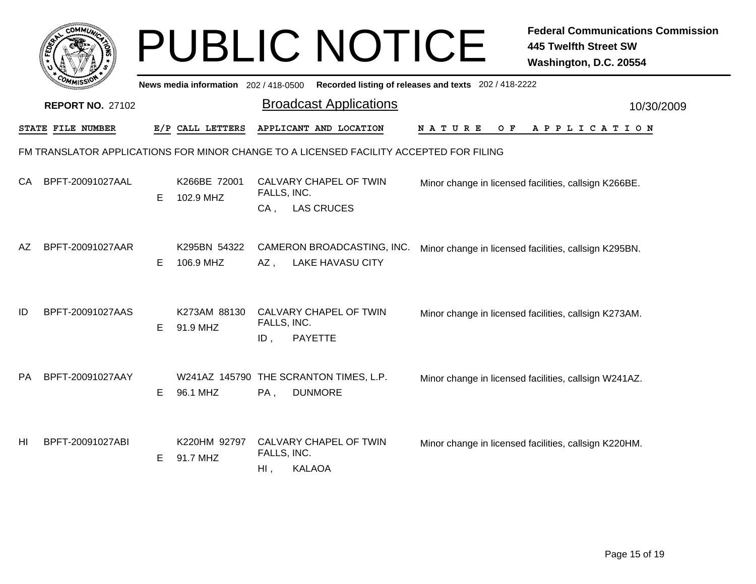|    | <b>OMMU</b>              |    |                                       |                                       | PUBLIC NOTICE                                                                          |                                                       | <b>Federal Communications Commission</b><br><b>445 Twelfth Street SW</b><br>Washington, D.C. 20554 |
|----|--------------------------|----|---------------------------------------|---------------------------------------|----------------------------------------------------------------------------------------|-------------------------------------------------------|----------------------------------------------------------------------------------------------------|
|    |                          |    | News media information 202 / 418-0500 |                                       | <b>Broadcast Applications</b>                                                          | Recorded listing of releases and texts 202 / 418-2222 |                                                                                                    |
|    | <b>REPORT NO. 27102</b>  |    |                                       |                                       |                                                                                        |                                                       | 10/30/2009                                                                                         |
|    | <b>STATE FILE NUMBER</b> |    | E/P CALL LETTERS                      |                                       | APPLICANT AND LOCATION                                                                 | N A T U R E<br>O F                                    | APPLICATION                                                                                        |
|    |                          |    |                                       |                                       | FM TRANSLATOR APPLICATIONS FOR MINOR CHANGE TO A LICENSED FACILITY ACCEPTED FOR FILING |                                                       |                                                                                                    |
| СA | BPFT-20091027AAL         |    | K266BE 72001<br>102.9 MHZ             | FALLS, INC.                           | CALVARY CHAPEL OF TWIN                                                                 | Minor change in licensed facilities, callsign K266BE. |                                                                                                    |
|    |                          | E. |                                       | $CA$ ,                                | <b>LAS CRUCES</b>                                                                      |                                                       |                                                                                                    |
| AZ | BPFT-20091027AAR         |    | K295BN 54322                          |                                       | CAMERON BROADCASTING, INC.                                                             |                                                       | Minor change in licensed facilities, callsign K295BN.                                              |
|    |                          | Е  | 106.9 MHZ                             | AZ,                                   | <b>LAKE HAVASU CITY</b>                                                                |                                                       |                                                                                                    |
| ID | BPFT-20091027AAS         |    | K273AM 88130                          |                                       | CALVARY CHAPEL OF TWIN                                                                 |                                                       | Minor change in licensed facilities, callsign K273AM.                                              |
|    |                          | E. | 91.9 MHZ                              | FALLS, INC.<br>ID,                    | <b>PAYETTE</b>                                                                         |                                                       |                                                                                                    |
|    |                          |    |                                       |                                       |                                                                                        |                                                       |                                                                                                    |
| РA | BPFT-20091027AAY         |    |                                       |                                       | W241AZ 145790 THE SCRANTON TIMES, L.P.                                                 |                                                       | Minor change in licensed facilities, callsign W241AZ.                                              |
|    |                          | E. | 96.1 MHZ                              | PA,                                   | <b>DUNMORE</b>                                                                         |                                                       |                                                                                                    |
|    |                          |    |                                       |                                       |                                                                                        |                                                       |                                                                                                    |
| HI | BPFT-20091027ABI         | E  | K220HM 92797<br>91.7 MHZ              | CALVARY CHAPEL OF TWIN<br>FALLS, INC. |                                                                                        |                                                       | Minor change in licensed facilities, callsign K220HM.                                              |
|    |                          |    |                                       | $Hl$ ,                                | <b>KALAOA</b>                                                                          |                                                       |                                                                                                    |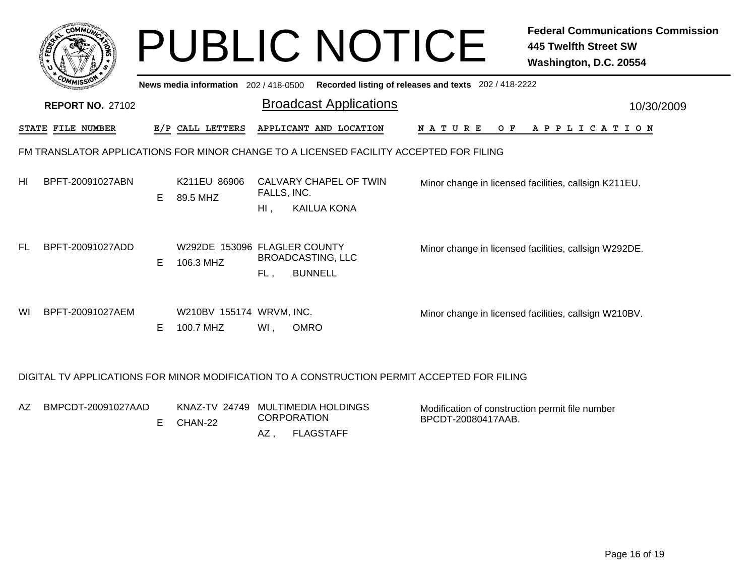|    |                          |    |                                       | <b>PUBLIC NOTICE</b>                                                                   |                                                       | <b>Federal Communications Commission</b><br>445 Twelfth Street SW<br>Washington, D.C. 20554 |
|----|--------------------------|----|---------------------------------------|----------------------------------------------------------------------------------------|-------------------------------------------------------|---------------------------------------------------------------------------------------------|
|    |                          |    | News media information 202 / 418-0500 |                                                                                        | Recorded listing of releases and texts 202 / 418-2222 |                                                                                             |
|    | <b>REPORT NO. 27102</b>  |    |                                       | <b>Broadcast Applications</b>                                                          |                                                       | 10/30/2009                                                                                  |
|    | <b>STATE FILE NUMBER</b> |    | E/P CALL LETTERS                      | APPLICANT AND LOCATION                                                                 | <b>NATURE</b><br>O F                                  | A P P L I C A T I O N                                                                       |
|    |                          |    |                                       | FM TRANSLATOR APPLICATIONS FOR MINOR CHANGE TO A LICENSED FACILITY ACCEPTED FOR FILING |                                                       |                                                                                             |
| HI | BPFT-20091027ABN         | E. | K211EU 86906<br>89.5 MHZ              | CALVARY CHAPEL OF TWIN<br>FALLS, INC.<br><b>KAILUA KONA</b><br>$HI$ ,                  |                                                       | Minor change in licensed facilities, callsign K211EU.                                       |
| FL | BPFT-20091027ADD         | E. | 106.3 MHZ                             | W292DE 153096 FLAGLER COUNTY<br><b>BROADCASTING, LLC</b><br><b>BUNNELL</b><br>FL,      |                                                       | Minor change in licensed facilities, callsign W292DE.                                       |
| WI | BPFT-20091027AEM         | E. | W210BV 155174 WRVM, INC.<br>100.7 MHZ | Wl,<br><b>OMRO</b>                                                                     |                                                       | Minor change in licensed facilities, callsign W210BV.                                       |

## DIGITAL TV APPLICATIONS FOR MINOR MODIFICATION TO A CONSTRUCTION PERMIT ACCEPTED FOR FILING

| AZ | BMPCDT-20091027AAD | E CHAN-22 | KNAZ-TV 24749 MULTIMEDIA HOLDINGS<br><b>CORPORATION</b> |           | Modification of construction permit file number<br>BPCDT-20080417AAB. |
|----|--------------------|-----------|---------------------------------------------------------|-----------|-----------------------------------------------------------------------|
|    |                    |           | AZ.                                                     | FLAGSTAFF |                                                                       |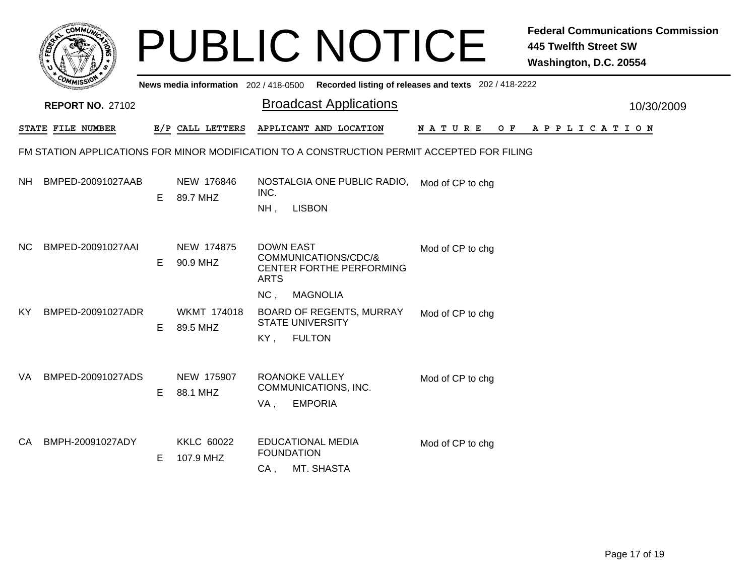|     |                                                                                             |   |                                | <b>PUBLIC NOTICE</b>                                                                                                      | <b>Federal Communications Commission</b><br><b>445 Twelfth Street SW</b><br>Washington, D.C. 20554 |  |  |  |  |  |
|-----|---------------------------------------------------------------------------------------------|---|--------------------------------|---------------------------------------------------------------------------------------------------------------------------|----------------------------------------------------------------------------------------------------|--|--|--|--|--|
|     |                                                                                             |   |                                | News media information 202/418-0500 Recorded listing of releases and texts 202/418-2222                                   |                                                                                                    |  |  |  |  |  |
|     | <b>REPORT NO. 27102</b>                                                                     |   |                                | <b>Broadcast Applications</b>                                                                                             | 10/30/2009                                                                                         |  |  |  |  |  |
|     | STATE FILE NUMBER                                                                           |   | E/P CALL LETTERS               | APPLICANT AND LOCATION<br>N A T U R E                                                                                     | OF APPLICATION                                                                                     |  |  |  |  |  |
|     | FM STATION APPLICATIONS FOR MINOR MODIFICATION TO A CONSTRUCTION PERMIT ACCEPTED FOR FILING |   |                                |                                                                                                                           |                                                                                                    |  |  |  |  |  |
| NH. | BMPED-20091027AAB                                                                           | Е | NEW 176846<br>89.7 MHZ         | NOSTALGIA ONE PUBLIC RADIO,<br>Mod of CP to chg<br>INC.<br>NH,<br><b>LISBON</b>                                           |                                                                                                    |  |  |  |  |  |
| NC. | BMPED-20091027AAI                                                                           | Е | NEW 174875<br>90.9 MHZ         | <b>DOWN EAST</b><br>Mod of CP to chg<br>COMMUNICATIONS/CDC/&<br>CENTER FORTHE PERFORMING<br><b>ARTS</b>                   |                                                                                                    |  |  |  |  |  |
| KY  | BMPED-20091027ADR                                                                           | E | <b>WKMT 174018</b><br>89.5 MHZ | NC,<br><b>MAGNOLIA</b><br>BOARD OF REGENTS, MURRAY<br>Mod of CP to chg<br><b>STATE UNIVERSITY</b><br>KY,<br><b>FULTON</b> |                                                                                                    |  |  |  |  |  |
| VA. | BMPED-20091027ADS                                                                           | E | NEW 175907<br>88.1 MHZ         | <b>ROANOKE VALLEY</b><br>Mod of CP to chg<br>COMMUNICATIONS, INC.<br><b>EMPORIA</b><br>VA,                                |                                                                                                    |  |  |  |  |  |
| CA. | BMPH-20091027ADY                                                                            | Е | <b>KKLC 60022</b><br>107.9 MHZ | <b>EDUCATIONAL MEDIA</b><br>Mod of CP to chg<br><b>FOUNDATION</b><br>MT. SHASTA<br>CA,                                    |                                                                                                    |  |  |  |  |  |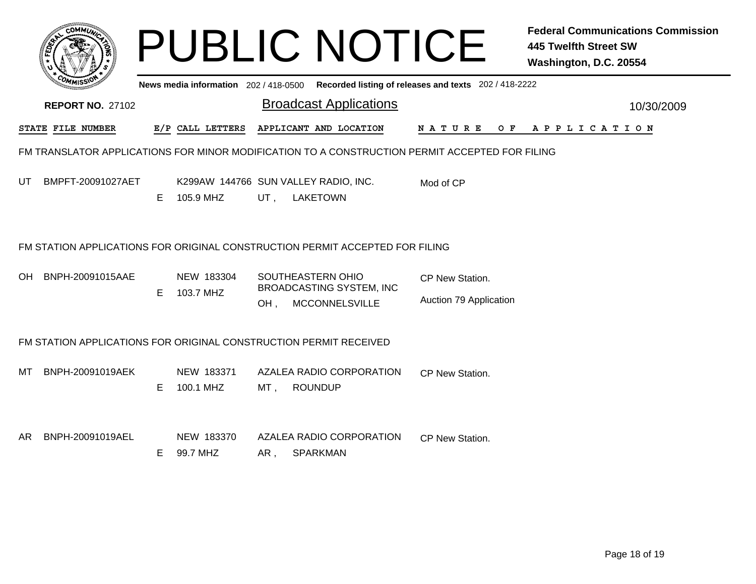|                                                                   |                                                                              |    |                                     |     | <b>PUBLIC NOTICE</b>                                                                           |                                                       | <b>Federal Communications Commission</b><br><b>445 Twelfth Street SW</b><br>Washington, D.C. 20554 |            |  |
|-------------------------------------------------------------------|------------------------------------------------------------------------------|----|-------------------------------------|-----|------------------------------------------------------------------------------------------------|-------------------------------------------------------|----------------------------------------------------------------------------------------------------|------------|--|
|                                                                   |                                                                              |    | News media information 202/418-0500 |     |                                                                                                | Recorded listing of releases and texts 202 / 418-2222 |                                                                                                    |            |  |
|                                                                   | <b>REPORT NO. 27102</b>                                                      |    |                                     |     | <b>Broadcast Applications</b>                                                                  |                                                       |                                                                                                    | 10/30/2009 |  |
|                                                                   | STATE FILE NUMBER                                                            |    | E/P CALL LETTERS                    |     | APPLICANT AND LOCATION                                                                         | N A T U R E                                           | OF APPLICATION                                                                                     |            |  |
|                                                                   |                                                                              |    |                                     |     | FM TRANSLATOR APPLICATIONS FOR MINOR MODIFICATION TO A CONSTRUCTION PERMIT ACCEPTED FOR FILING |                                                       |                                                                                                    |            |  |
| UT                                                                | BMPFT-20091027AET                                                            | E. | 105.9 MHZ                           | UT. | K299AW 144766 SUN VALLEY RADIO, INC.<br><b>LAKETOWN</b>                                        | Mod of CP                                             |                                                                                                    |            |  |
|                                                                   | FM STATION APPLICATIONS FOR ORIGINAL CONSTRUCTION PERMIT ACCEPTED FOR FILING |    |                                     |     |                                                                                                |                                                       |                                                                                                    |            |  |
| OH.                                                               | BNPH-20091015AAE                                                             |    | NEW 183304                          |     | SOUTHEASTERN OHIO                                                                              | CP New Station.                                       |                                                                                                    |            |  |
|                                                                   |                                                                              | E. | 103.7 MHZ                           | OH. | <b>BROADCASTING SYSTEM, INC</b><br><b>MCCONNELSVILLE</b>                                       | Auction 79 Application                                |                                                                                                    |            |  |
| FM STATION APPLICATIONS FOR ORIGINAL CONSTRUCTION PERMIT RECEIVED |                                                                              |    |                                     |     |                                                                                                |                                                       |                                                                                                    |            |  |
| MТ                                                                | BNPH-20091019AEK                                                             | E. | NEW 183371<br>100.1 MHZ             | MT, | AZALEA RADIO CORPORATION<br><b>ROUNDUP</b>                                                     | CP New Station.                                       |                                                                                                    |            |  |
| AR.                                                               | BNPH-20091019AEL                                                             | E. | NEW 183370<br>99.7 MHZ              | AR, | AZALEA RADIO CORPORATION<br><b>SPARKMAN</b>                                                    | <b>CP New Station.</b>                                |                                                                                                    |            |  |